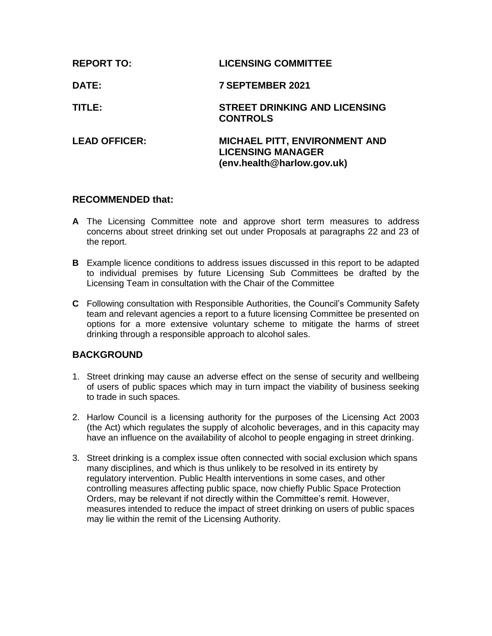| <b>REPORT TO:</b>    | <b>LICENSING COMMITTEE</b>                                                              |
|----------------------|-----------------------------------------------------------------------------------------|
| <b>DATE:</b>         | <b>7 SEPTEMBER 2021</b>                                                                 |
| TITLE:               | <b>STREET DRINKING AND LICENSING</b><br><b>CONTROLS</b>                                 |
| <b>LEAD OFFICER:</b> | MICHAEL PITT, ENVIRONMENT AND<br><b>LICENSING MANAGER</b><br>(env.health@harlow.gov.uk) |

## **RECOMMENDED that:**

- **A** The Licensing Committee note and approve short term measures to address concerns about street drinking set out under Proposals at paragraphs 22 and 23 of the report.
- **B** Example licence conditions to address issues discussed in this report to be adapted to individual premises by future Licensing Sub Committees be drafted by the Licensing Team in consultation with the Chair of the Committee
- **C** Following consultation with Responsible Authorities, the Council's Community Safety team and relevant agencies a report to a future licensing Committee be presented on options for a more extensive voluntary scheme to mitigate the harms of street drinking through a responsible approach to alcohol sales.

# **BACKGROUND**

- 1. Street drinking may cause an adverse effect on the sense of security and wellbeing of users of public spaces which may in turn impact the viability of business seeking to trade in such spaces.
- 2. Harlow Council is a licensing authority for the purposes of the Licensing Act 2003 (the Act) which regulates the supply of alcoholic beverages, and in this capacity may have an influence on the availability of alcohol to people engaging in street drinking.
- 3. Street drinking is a complex issue often connected with social exclusion which spans many disciplines, and which is thus unlikely to be resolved in its entirety by regulatory intervention. Public Health interventions in some cases, and other controlling measures affecting public space, now chiefly Public Space Protection Orders, may be relevant if not directly within the Committee's remit. However, measures intended to reduce the impact of street drinking on users of public spaces may lie within the remit of the Licensing Authority.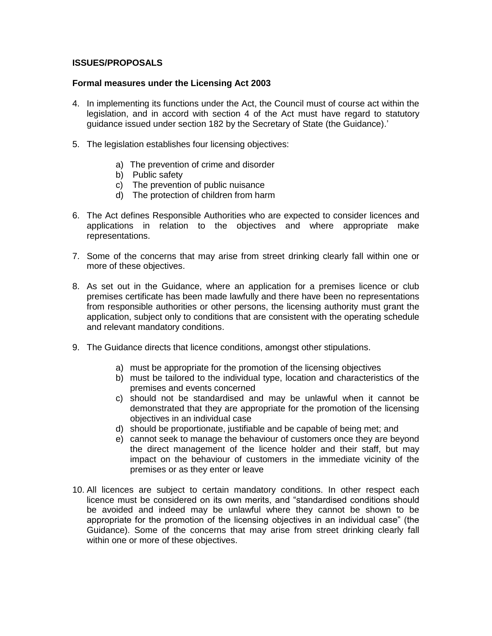## **ISSUES/PROPOSALS**

#### **Formal measures under the Licensing Act 2003**

- 4. In implementing its functions under the Act, the Council must of course act within the legislation, and in accord with section 4 of the Act must have regard to statutory guidance issued under section 182 by the Secretary of State (the Guidance).'
- 5. The legislation establishes four licensing objectives:
	- a) The prevention of crime and disorder
	- b) Public safety
	- c) The prevention of public nuisance
	- d) The protection of children from harm
- 6. The Act defines Responsible Authorities who are expected to consider licences and applications in relation to the objectives and where appropriate make representations.
- 7. Some of the concerns that may arise from street drinking clearly fall within one or more of these objectives.
- 8. As set out in the Guidance, where an application for a premises licence or club premises certificate has been made lawfully and there have been no representations from responsible authorities or other persons, the licensing authority must grant the application, subject only to conditions that are consistent with the operating schedule and relevant mandatory conditions.
- 9. The Guidance directs that licence conditions, amongst other stipulations.
	- a) must be appropriate for the promotion of the licensing objectives
	- b) must be tailored to the individual type, location and characteristics of the premises and events concerned
	- c) should not be standardised and may be unlawful when it cannot be demonstrated that they are appropriate for the promotion of the licensing objectives in an individual case
	- d) should be proportionate, justifiable and be capable of being met; and
	- e) cannot seek to manage the behaviour of customers once they are beyond the direct management of the licence holder and their staff, but may impact on the behaviour of customers in the immediate vicinity of the premises or as they enter or leave
- 10. All licences are subject to certain mandatory conditions. In other respect each licence must be considered on its own merits, and "standardised conditions should be avoided and indeed may be unlawful where they cannot be shown to be appropriate for the promotion of the licensing objectives in an individual case" (the Guidance). Some of the concerns that may arise from street drinking clearly fall within one or more of these objectives.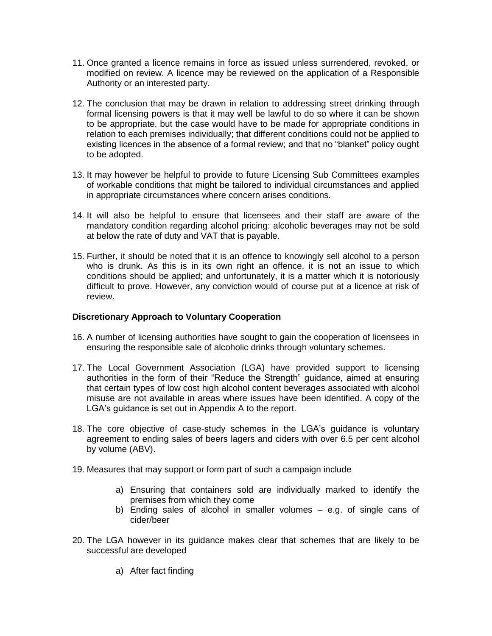- 11. Once granted a licence remains in force as issued unless surrendered, revoked, or modified on review. A licence may be reviewed on the application of a Responsible Authority or an interested party.
- 12. The conclusion that may be drawn in relation to addressing street drinking through formal licensing powers is that it may well be lawful to do so where it can be shown to be appropriate, but the case would have to be made for appropriate conditions in relation to each premises individually; that different conditions could not be applied to existing licences in the absence of a formal review; and that no "blanket" policy ought to be adopted.
- 13. It may however be helpful to provide to future Licensing Sub Committees examples of workable conditions that might be tailored to individual circumstances and applied in appropriate circumstances where concern arises conditions.
- 14. It will also be helpful to ensure that licensees and their staff are aware of the mandatory condition regarding alcohol pricing: alcoholic beverages may not be sold at below the rate of duty and VAT that is payable.
- 15. Further, it should be noted that it is an offence to knowingly sell alcohol to a person who is drunk. As this is in its own right an offence, it is not an issue to which conditions should be applied; and unfortunately, it is a matter which it is notoriously difficult to prove. However, any conviction would of course put at a licence at risk of review.

### **Discretionary Approach to Voluntary Cooperation**

- 16. A number of licensing authorities have sought to gain the cooperation of licensees in ensuring the responsible sale of alcoholic drinks through voluntary schemes.
- 17. The Local Government Association (LGA) have provided support to licensing authorities in the form of their "Reduce the Strength" guidance, aimed at ensuring that certain types of low cost high alcohol content beverages associated with alcohol misuse are not available in areas where issues have been identified. A copy of the LGA's guidance is set out in Appendix A to the report.
- 18. The core objective of case-study schemes in the LGA's guidance is voluntary agreement to ending sales of beers lagers and ciders with over 6.5 per cent alcohol by volume (ABV).
- 19. Measures that may support or form part of such a campaign include
	- a) Ensuring that containers sold are individually marked to identify the premises from which they come
	- b) Ending sales of alcohol in smaller volumes e.g. of single cans of cider/beer
- 20. The LGA however in its guidance makes clear that schemes that are likely to be successful are developed
	- a) After fact finding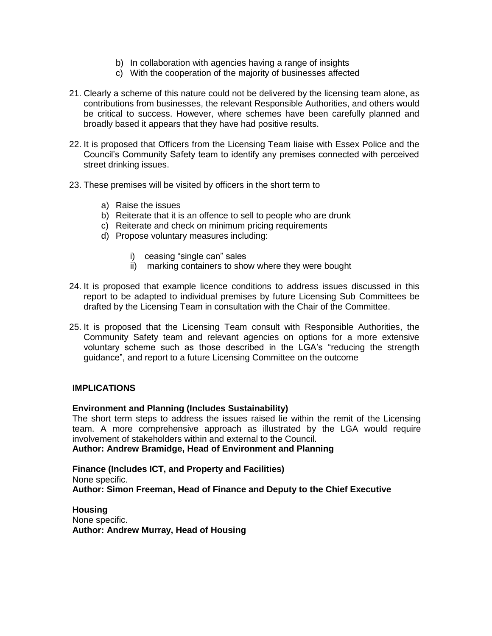- b) In collaboration with agencies having a range of insights
- c) With the cooperation of the majority of businesses affected
- 21. Clearly a scheme of this nature could not be delivered by the licensing team alone, as contributions from businesses, the relevant Responsible Authorities, and others would be critical to success. However, where schemes have been carefully planned and broadly based it appears that they have had positive results.
- 22. It is proposed that Officers from the Licensing Team liaise with Essex Police and the Council's Community Safety team to identify any premises connected with perceived street drinking issues.
- 23. These premises will be visited by officers in the short term to
	- a) Raise the issues
	- b) Reiterate that it is an offence to sell to people who are drunk
	- c) Reiterate and check on minimum pricing requirements
	- d) Propose voluntary measures including:
		- i) ceasing "single can" sales
		- ii) marking containers to show where they were bought
- 24. It is proposed that example licence conditions to address issues discussed in this report to be adapted to individual premises by future Licensing Sub Committees be drafted by the Licensing Team in consultation with the Chair of the Committee.
- 25. It is proposed that the Licensing Team consult with Responsible Authorities, the Community Safety team and relevant agencies on options for a more extensive voluntary scheme such as those described in the LGA's "reducing the strength guidance", and report to a future Licensing Committee on the outcome

### **IMPLICATIONS**

### **Environment and Planning (Includes Sustainability)**

The short term steps to address the issues raised lie within the remit of the Licensing team. A more comprehensive approach as illustrated by the LGA would require involvement of stakeholders within and external to the Council.

**Author: Andrew Bramidge, Head of Environment and Planning**

**Finance (Includes ICT, and Property and Facilities)** None specific. **Author: Simon Freeman, Head of Finance and Deputy to the Chief Executive**

**Housing** None specific. **Author: Andrew Murray, Head of Housing**